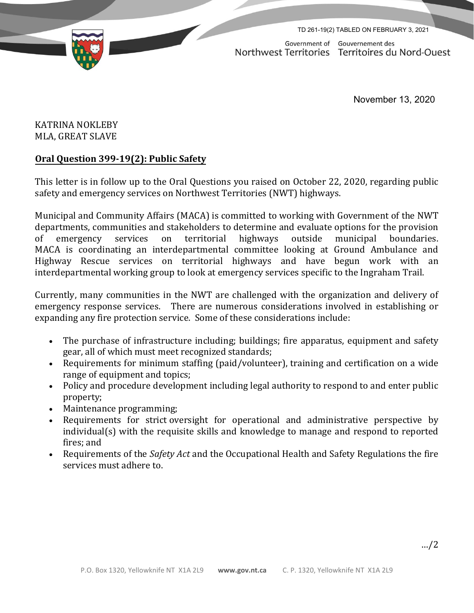TD 261-19(2) TABLED ON FEBRUARY 3, 2021



Government of Gouvernement des Northwest Territories Territoires du Nord-Ouest

November 13, 2020

## KATRINA NOKLEBY MLA, GREAT SLAVE

## **Oral Question 399-19(2): Public Safety**

This letter is in follow up to the Oral Questions you raised on October 22, 2020, regarding public safety and emergency services on Northwest Territories (NWT) highways.

Municipal and Community Affairs (MACA) is committed to working with Government of the NWT departments, communities and stakeholders to determine and evaluate options for the provision of emergency services on territorial highways outside municipal boundaries. MACA is coordinating an interdepartmental committee looking at Ground Ambulance and Highway Rescue services on territorial highways and have begun work with an interdepartmental working group to look at emergency services specific to the Ingraham Trail.

Currently, many communities in the NWT are challenged with the organization and delivery of emergency response services. There are numerous considerations involved in establishing or expanding any fire protection service. Some of these considerations include:

- The purchase of infrastructure including; buildings; fire apparatus, equipment and safety gear, all of which must meet recognized standards;
- Requirements for minimum staffing (paid/volunteer), training and certification on a wide range of equipment and topics;
- Policy and procedure development including legal authority to respond to and enter public property;
- Maintenance programming;
- Requirements for strict oversight for operational and administrative perspective by individual(s) with the requisite skills and knowledge to manage and respond to reported fires; and
- Requirements of the *Safety Act* and the Occupational Health and Safety Regulations the fire services must adhere to.

…/2